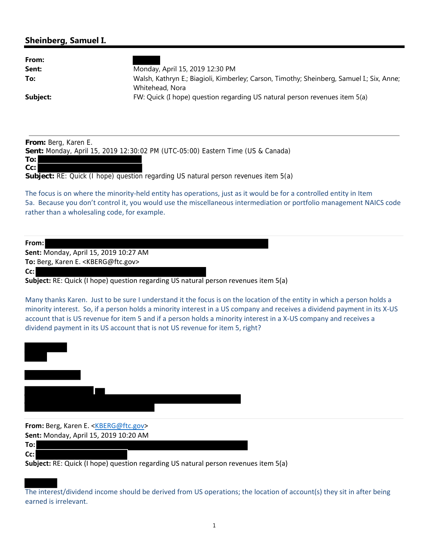## **Sheinberg, Samuel I.**

| ənemberg, sanıder i.                                                                                           |                                                                                                                                                                                                                                                                                                                                                                                                                                                                                                                                                |
|----------------------------------------------------------------------------------------------------------------|------------------------------------------------------------------------------------------------------------------------------------------------------------------------------------------------------------------------------------------------------------------------------------------------------------------------------------------------------------------------------------------------------------------------------------------------------------------------------------------------------------------------------------------------|
| From:<br>Sent:<br>To:<br>Subject:                                                                              | Monday, April 15, 2019 12:30 PM<br>Walsh, Kathryn E.; Biagioli, Kimberley; Carson, Timothy; Sheinberg, Samuel I.; Six, Anne;<br>Whitehead, Nora<br>FW: Quick (I hope) question regarding US natural person revenues item 5(a)                                                                                                                                                                                                                                                                                                                  |
| From: Berg, Karen E.<br>To:<br>Cc:                                                                             | Sent: Monday, April 15, 2019 12:30:02 PM (UTC-05:00) Eastern Time (US & Canada)<br>Subject: RE: Quick (I hope) question regarding US natural person revenues item 5(a)                                                                                                                                                                                                                                                                                                                                                                         |
| rather than a wholesaling code, for example.                                                                   | The focus is on where the minority-held entity has operations, just as it would be for a controlled entity in Item<br>5a. Because you don't control it, you would use the miscellaneous intermediation or portfolio management NAICS code                                                                                                                                                                                                                                                                                                      |
| From:<br>Sent: Monday, April 15, 2019 10:27 AM<br>To: Berg, Karen E. <kberg@ftc.gov><br/>Cc:</kberg@ftc.gov>   | Subject: RE: Quick (I hope) question regarding US natural person revenues item 5(a)<br>Many thanks Karen. Just to be sure I understand it the focus is on the location of the entity in which a person holds a<br>minority interest. So, if a person holds a minority interest in a US company and receives a dividend payment in its X-US<br>account that is US revenue for item 5 and if a person holds a minority interest in a X-US company and receives a<br>dividend payment in its US account that is not US revenue for item 5, right? |
|                                                                                                                |                                                                                                                                                                                                                                                                                                                                                                                                                                                                                                                                                |
| From: Berg, Karen E. <kberg@ftc.gov><br/>Sent: Monday, April 15, 2019 10:20 AM<br/>To:<br/>Cc:</kberg@ftc.gov> |                                                                                                                                                                                                                                                                                                                                                                                                                                                                                                                                                |

**Subject:** RE: Quick (I hope) question regarding US natural person revenues item 5(a)

The interest/dividend income should be derived from US operations; the location of account(s) they sit in after being earned is irrelevant.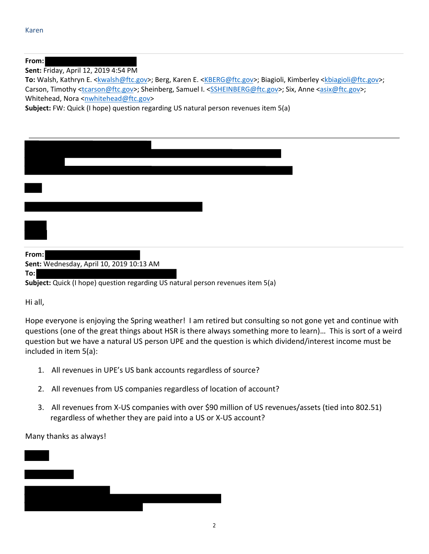## **From:**

**Sent:** Friday, April 12, 2019 4:54 PM

To: Walsh, Kathryn E. <**kwalsh@ftc.gov>**; Berg, Karen E. <KBERG@ftc.gov>; Biagioli, Kimberley <*kbiagioli@ftc.gov>*; Carson, Timothy <tcarson@ftc.gov>; Sheinberg, Samuel I. <SSHEINBERG@ftc.gov>; Six, Anne <asix@ftc.gov>; Whitehead, Nora <nwhitehead@ftc.gov>

**Subject:** FW: Quick (I hope) question regarding US natural person revenues item 5(a)

| From:<br>Sent: Wednesday, April 10, 2019 10:13 AM<br>To:<br>Subject: Quick (I hope) question regarding US natural person revenues item 5(a) |  |
|---------------------------------------------------------------------------------------------------------------------------------------------|--|

Hi all,

Hope everyone is enjoying the Spring weather! I am retired but consulting so not gone yet and continue with questions (one of the great things about HSR is there always something more to learn)… This is sort of a weird question but we have a natural US person UPE and the question is which dividend/interest income must be included in item 5(a):

- 1. All revenues in UPE's US bank accounts regardless of source?
- 2. All revenues from US companies regardless of location of account?
- 3. All revenues from X‐US companies with over \$90 million of US revenues/assets (tied into 802.51) regardless of whether they are paid into a US or X‐US account?

Many thanks as always!